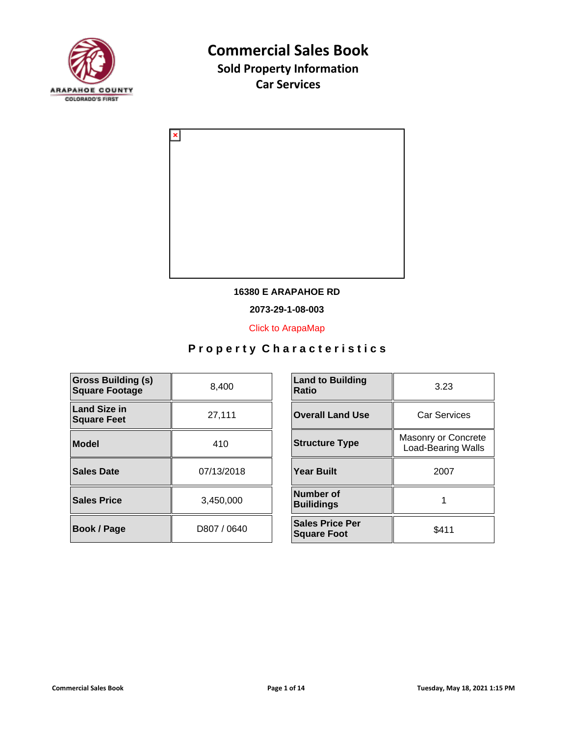



#### **16380 E ARAPAHOE RD**

**2073-29-1-08-003**

[Click to ArapaMap](https://gis.arapahoegov.com/arapamaplite/?PARCEL=2073-29-1-08-003)

| <b>Gross Building (s)</b><br><b>Square Footage</b> | 8.400       | <b>Land to Building</b><br><b>Ratio</b>      |
|----------------------------------------------------|-------------|----------------------------------------------|
| Land Size in<br><b>Square Feet</b>                 | 27,111      | <b>Overall Land Use</b>                      |
| Model                                              | 410         | <b>Structure Type</b>                        |
| Sales Date                                         | 07/13/2018  | <b>Year Built</b>                            |
| <b>Sales Price</b>                                 | 3.450.000   | Number of<br><b>Builidings</b>               |
| <b>Book / Page</b>                                 | D807 / 0640 | <b>Sales Price Per</b><br><b>Square Foot</b> |

| <b>Land to Building</b><br>Ratio             | 3.23                                             |  |
|----------------------------------------------|--------------------------------------------------|--|
| <b>Overall Land Use</b>                      | <b>Car Services</b>                              |  |
| <b>Structure Type</b>                        | Masonry or Concrete<br><b>Load-Bearing Walls</b> |  |
| Year Built                                   | 2007                                             |  |
| Number of<br><b>Builidings</b>               |                                                  |  |
| <b>Sales Price Per</b><br><b>Square Foot</b> | \$411                                            |  |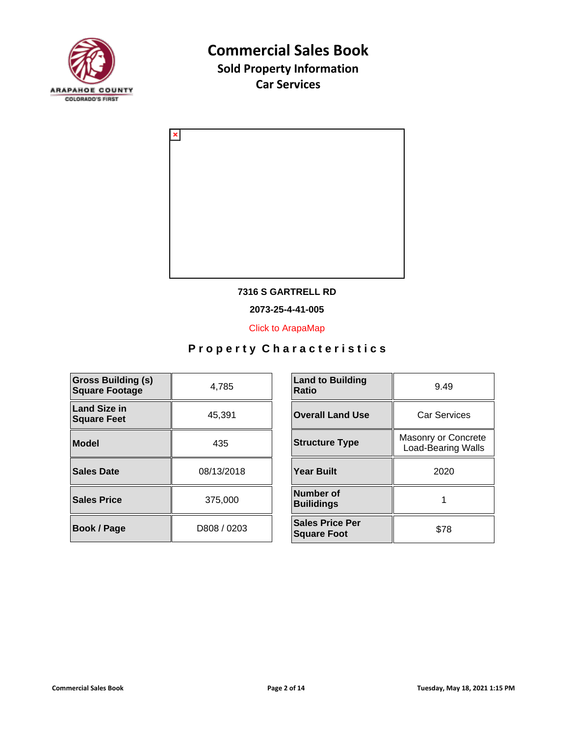



#### **7316 S GARTRELL RD**

**2073-25-4-41-005**

[Click to ArapaMap](https://gis.arapahoegov.com/arapamaplite/?PARCEL=2073-25-4-41-005)

| <b>Gross Building (s)</b><br><b>Square Footage</b> | 4.785       | <b>Land to Building</b><br><b>Ratio</b>      |
|----------------------------------------------------|-------------|----------------------------------------------|
| <b>Land Size in</b><br><b>Square Feet</b>          | 45,391      | <b>Overall Land Use</b>                      |
| <b>Model</b>                                       | 435         | <b>Structure Type</b>                        |
| <b>Sales Date</b>                                  | 08/13/2018  | <b>Year Built</b>                            |
| <b>Sales Price</b>                                 | 375,000     | <b>Number of</b><br><b>Builidings</b>        |
| <b>Book / Page</b>                                 | D808 / 0203 | <b>Sales Price Per</b><br><b>Square Foot</b> |

| <b>Land to Building</b><br><b>Ratio</b>      | 9.49                                             |  |
|----------------------------------------------|--------------------------------------------------|--|
| <b>Overall Land Use</b>                      | <b>Car Services</b>                              |  |
| <b>Structure Type</b>                        | Masonry or Concrete<br><b>Load-Bearing Walls</b> |  |
| <b>Year Built</b>                            | 2020                                             |  |
| Number of<br><b>Builidings</b>               |                                                  |  |
| <b>Sales Price Per</b><br><b>Square Foot</b> | \$78                                             |  |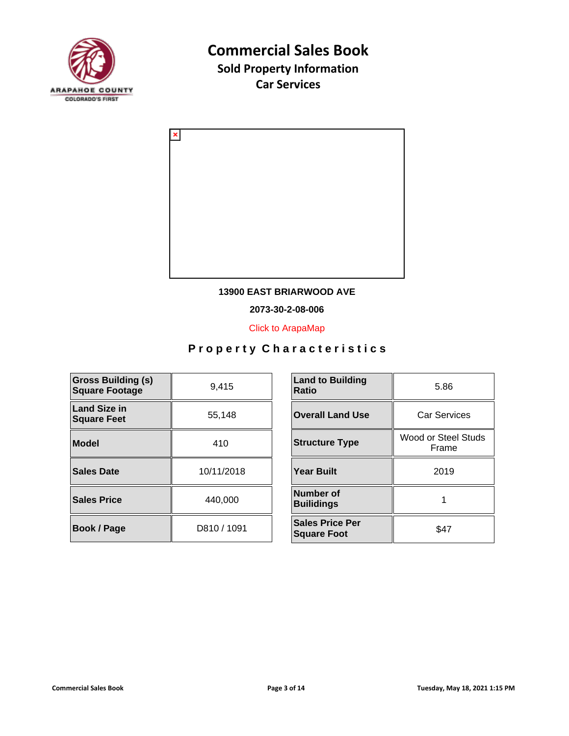



#### **13900 EAST BRIARWOOD AVE**

**2073-30-2-08-006**

[Click to ArapaMap](https://gis.arapahoegov.com/arapamaplite/?PARCEL=2073-30-2-08-006)

| <b>Gross Building (s)</b><br><b>Square Footage</b> | 9,415       | <b>Land to Building</b><br><b>Ratio</b>      |
|----------------------------------------------------|-------------|----------------------------------------------|
| <b>Land Size in</b><br><b>Square Feet</b>          | 55,148      | <b>Overall Land Use</b>                      |
| <b>Model</b>                                       | 410         | <b>Structure Type</b>                        |
| <b>Sales Date</b>                                  | 10/11/2018  | <b>Year Built</b>                            |
| <b>Sales Price</b>                                 | 440,000     | <b>Number of</b><br><b>Builidings</b>        |
| <b>Book / Page</b>                                 | D810 / 1091 | <b>Sales Price Per</b><br><b>Square Foot</b> |

| <b>Land to Building</b><br><b>Ratio</b>      | 5.86                         |  |
|----------------------------------------------|------------------------------|--|
| <b>Overall Land Use</b>                      | <b>Car Services</b>          |  |
| <b>Structure Type</b>                        | Wood or Steel Studs<br>Frame |  |
| <b>Year Built</b>                            | 2019                         |  |
| Number of<br><b>Builidings</b>               |                              |  |
| <b>Sales Price Per</b><br><b>Square Foot</b> | \$47                         |  |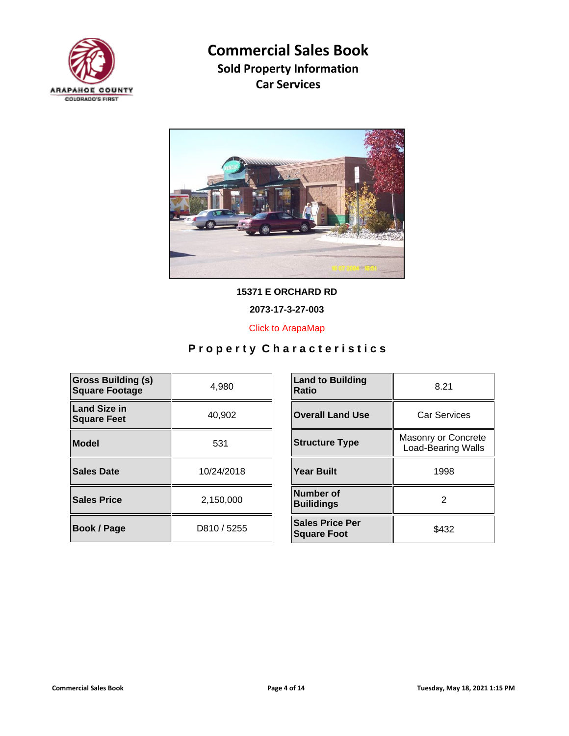



**15371 E ORCHARD RD**

**2073-17-3-27-003**

[Click to ArapaMap](https://gis.arapahoegov.com/arapamaplite/?PARCEL=2073-17-3-27-003)

| <b>Gross Building (s)</b><br><b>Square Footage</b> | 4,980       | <b>Land to Building</b><br><b>Ratio</b>      |
|----------------------------------------------------|-------------|----------------------------------------------|
| <b>Land Size in</b><br><b>Square Feet</b>          | 40,902      | <b>Overall Land Use</b>                      |
| Model                                              | 531         | <b>Structure Type</b>                        |
| <b>Sales Date</b>                                  | 10/24/2018  | <b>Year Built</b>                            |
| <b>Sales Price</b>                                 | 2,150,000   | Number of<br><b>Builidings</b>               |
| <b>Book / Page</b>                                 | D810 / 5255 | <b>Sales Price Per</b><br><b>Square Foot</b> |

| <b>Land to Building</b><br><b>Ratio</b>      | 8.21                                             |  |
|----------------------------------------------|--------------------------------------------------|--|
| <b>Overall Land Use</b>                      | <b>Car Services</b>                              |  |
| <b>Structure Type</b>                        | Masonry or Concrete<br><b>Load-Bearing Walls</b> |  |
| <b>Year Built</b>                            | 1998                                             |  |
| Number of<br><b>Builidings</b>               | 2                                                |  |
| <b>Sales Price Per</b><br><b>Square Foot</b> | \$432                                            |  |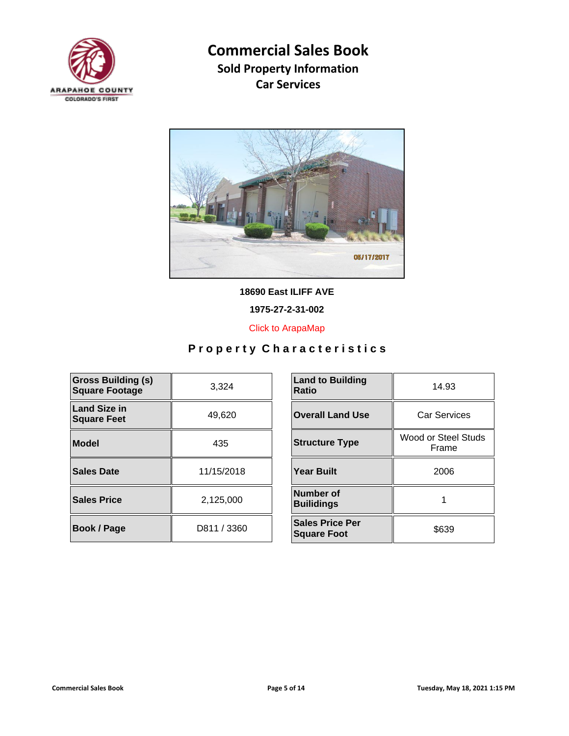



**18690 East ILIFF AVE**

**1975-27-2-31-002**

[Click to ArapaMap](https://gis.arapahoegov.com/arapamaplite/?PARCEL=1975-27-2-31-002)

| <b>Gross Building (s)</b><br><b>Square Footage</b> | 3.324       | <b>Land to Building</b><br><b>Ratio</b>      |
|----------------------------------------------------|-------------|----------------------------------------------|
| <b>Land Size in</b><br><b>Square Feet</b>          | 49,620      | <b>Overall Land Use</b>                      |
| Model                                              | 435         | <b>Structure Type</b>                        |
| <b>Sales Date</b>                                  | 11/15/2018  | <b>Year Built</b>                            |
| <b>Sales Price</b>                                 | 2.125.000   | Number of<br><b>Builidings</b>               |
| <b>Book / Page</b>                                 | D811 / 3360 | <b>Sales Price Per</b><br><b>Square Foot</b> |

| <b>Land to Building</b><br><b>Ratio</b>      | 14.93                        |  |
|----------------------------------------------|------------------------------|--|
| <b>Overall Land Use</b>                      | <b>Car Services</b>          |  |
| <b>Structure Type</b>                        | Wood or Steel Studs<br>Frame |  |
| <b>Year Built</b>                            | 2006                         |  |
| Number of<br><b>Builidings</b>               |                              |  |
| <b>Sales Price Per</b><br><b>Square Foot</b> | \$639                        |  |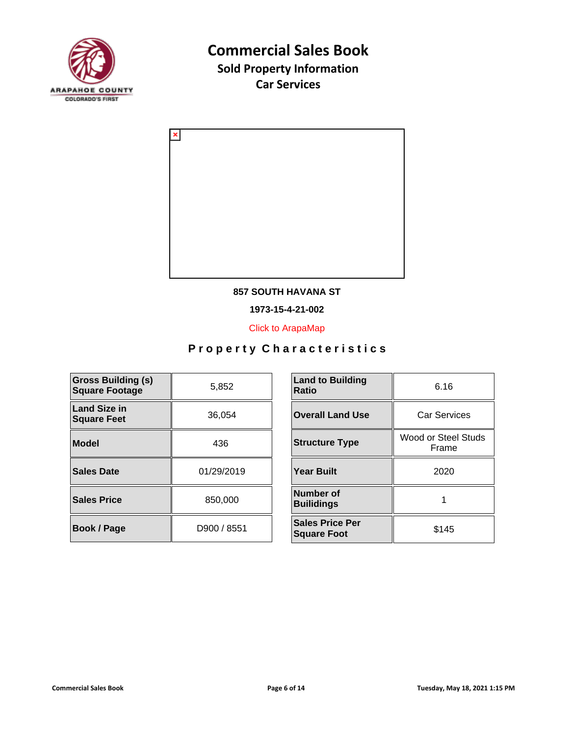



#### **857 SOUTH HAVANA ST**

**1973-15-4-21-002**

[Click to ArapaMap](https://gis.arapahoegov.com/arapamaplite/?PARCEL=1973-15-4-21-002)

| <b>Gross Building (s)</b><br><b>Square Footage</b> | 5,852       | <b>Land to Building</b><br><b>Ratio</b>      |
|----------------------------------------------------|-------------|----------------------------------------------|
| <b>Land Size in</b><br><b>Square Feet</b>          | 36,054      | <b>Overall Land Use</b>                      |
| <b>Model</b>                                       | 436         | <b>Structure Type</b>                        |
| <b>Sales Date</b>                                  | 01/29/2019  | <b>Year Built</b>                            |
| <b>Sales Price</b>                                 | 850,000     | Number of<br><b>Builidings</b>               |
| Book / Page                                        | D900 / 8551 | <b>Sales Price Per</b><br><b>Square Foot</b> |

| <b>Land to Building</b><br>Ratio             | 6.16                         |  |
|----------------------------------------------|------------------------------|--|
| <b>Overall Land Use</b>                      | <b>Car Services</b>          |  |
| <b>Structure Type</b>                        | Wood or Steel Studs<br>Frame |  |
| <b>Year Built</b>                            | 2020                         |  |
| Number of<br><b>Builidings</b>               |                              |  |
| <b>Sales Price Per</b><br><b>Square Foot</b> | \$145                        |  |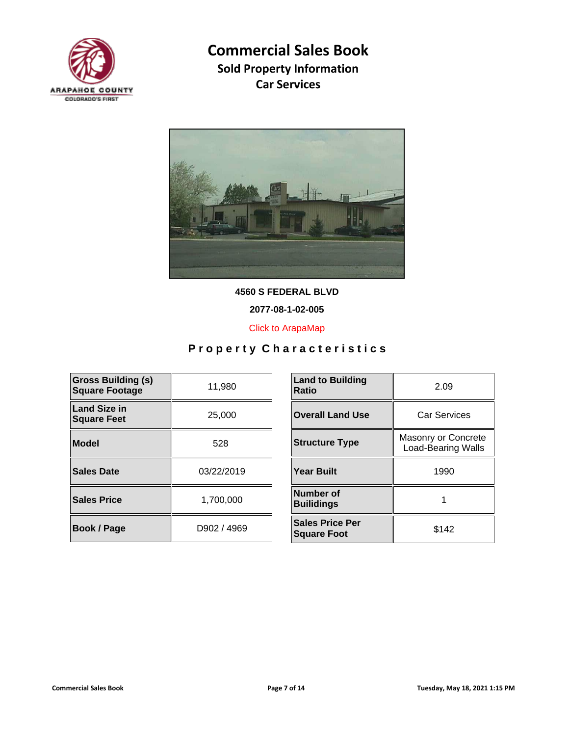



**4560 S FEDERAL BLVD**

**2077-08-1-02-005**

[Click to ArapaMap](https://gis.arapahoegov.com/arapamaplite/?PARCEL=2077-08-1-02-005)

| <b>Gross Building (s)</b><br><b>Square Footage</b> | 11,980      | <b>Land to Building</b><br><b>Ratio</b>      |
|----------------------------------------------------|-------------|----------------------------------------------|
| <b>Land Size in</b><br><b>Square Feet</b>          | 25,000      | <b>Overall Land Use</b>                      |
| Model                                              | 528         | <b>Structure Type</b>                        |
| Sales Date                                         | 03/22/2019  | <b>Year Built</b>                            |
| <b>Sales Price</b>                                 | 1,700,000   | Number of<br><b>Builidings</b>               |
| <b>Book / Page</b>                                 | D902 / 4969 | <b>Sales Price Per</b><br><b>Square Foot</b> |

| <b>Land to Building</b><br>Ratio             | 2.09                                             |  |
|----------------------------------------------|--------------------------------------------------|--|
| <b>Overall Land Use</b>                      | Car Services                                     |  |
| <b>Structure Type</b>                        | Masonry or Concrete<br><b>Load-Bearing Walls</b> |  |
| <b>Year Built</b>                            | 1990                                             |  |
| Number of<br><b>Builidings</b>               |                                                  |  |
| <b>Sales Price Per</b><br><b>Square Foot</b> | \$142                                            |  |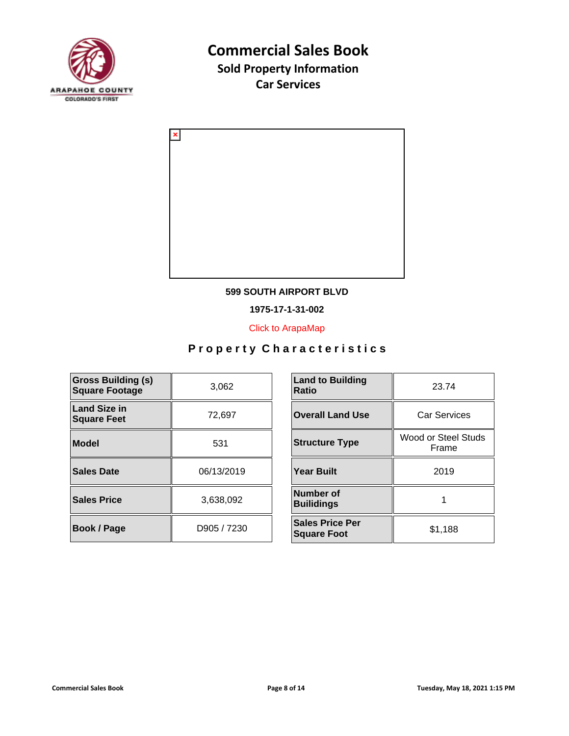



#### **599 SOUTH AIRPORT BLVD**

**1975-17-1-31-002**

[Click to ArapaMap](https://gis.arapahoegov.com/arapamaplite/?PARCEL=1975-17-1-31-002)

| <b>Gross Building (s)</b><br><b>Square Footage</b> | 3,062       | <b>Land to Building</b><br><b>Ratio</b>      |
|----------------------------------------------------|-------------|----------------------------------------------|
| <b>Land Size in</b><br><b>Square Feet</b>          | 72,697      | <b>Overall Land Use</b>                      |
| <b>Model</b>                                       | 531         | <b>Structure Type</b>                        |
| <b>Sales Date</b>                                  | 06/13/2019  | <b>Year Built</b>                            |
| <b>Sales Price</b>                                 | 3,638,092   | Number of<br><b>Builidings</b>               |
| Book / Page                                        | D905 / 7230 | <b>Sales Price Per</b><br><b>Square Foot</b> |

| <b>Land to Building</b><br><b>Ratio</b>      | 23.74                        |  |
|----------------------------------------------|------------------------------|--|
| <b>Overall Land Use</b>                      | <b>Car Services</b>          |  |
| <b>Structure Type</b>                        | Wood or Steel Studs<br>Frame |  |
| <b>Year Built</b>                            | 2019                         |  |
| Number of<br><b>Builidings</b>               |                              |  |
| <b>Sales Price Per</b><br><b>Square Foot</b> | \$1,188                      |  |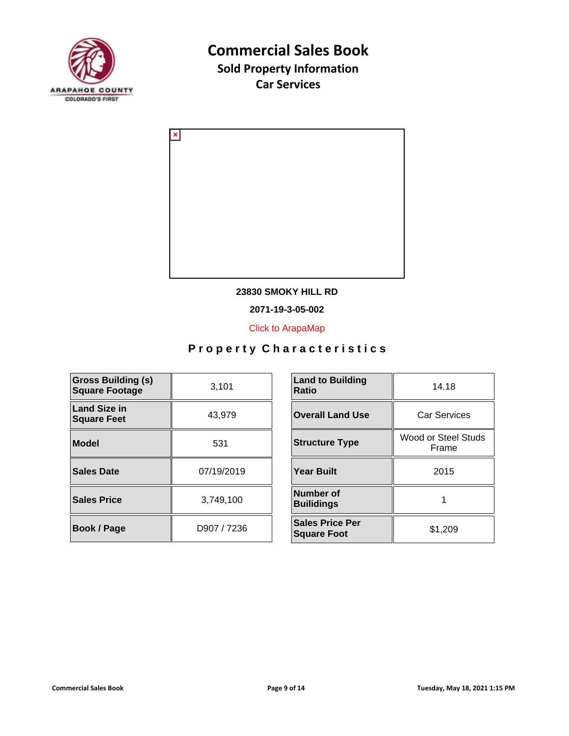



#### **23830 SMOKY HILL RD**

**2071-19-3-05-002**

[Click to ArapaMap](https://gis.arapahoegov.com/arapamaplite/?PARCEL=2071-19-3-05-002)

| <b>Gross Building (s)</b><br><b>Square Footage</b> | 3,101       | <b>Land to Building</b><br><b>Ratio</b>      |
|----------------------------------------------------|-------------|----------------------------------------------|
| <b>Land Size in</b><br><b>Square Feet</b>          | 43.979      | <b>Overall Land Use</b>                      |
| <b>Model</b>                                       | 531         | <b>Structure Type</b>                        |
| <b>Sales Date</b>                                  | 07/19/2019  | <b>Year Built</b>                            |
| <b>Sales Price</b>                                 | 3,749,100   | Number of<br><b>Builidings</b>               |
| Book / Page                                        | D907 / 7236 | <b>Sales Price Per</b><br><b>Square Foot</b> |

| <b>Land to Building</b><br><b>Ratio</b>      | 14.18                        |  |
|----------------------------------------------|------------------------------|--|
| <b>Overall Land Use</b>                      | <b>Car Services</b>          |  |
| <b>Structure Type</b>                        | Wood or Steel Studs<br>Frame |  |
| <b>Year Built</b>                            | 2015                         |  |
| Number of<br><b>Builidings</b>               |                              |  |
| <b>Sales Price Per</b><br><b>Square Foot</b> | \$1,209                      |  |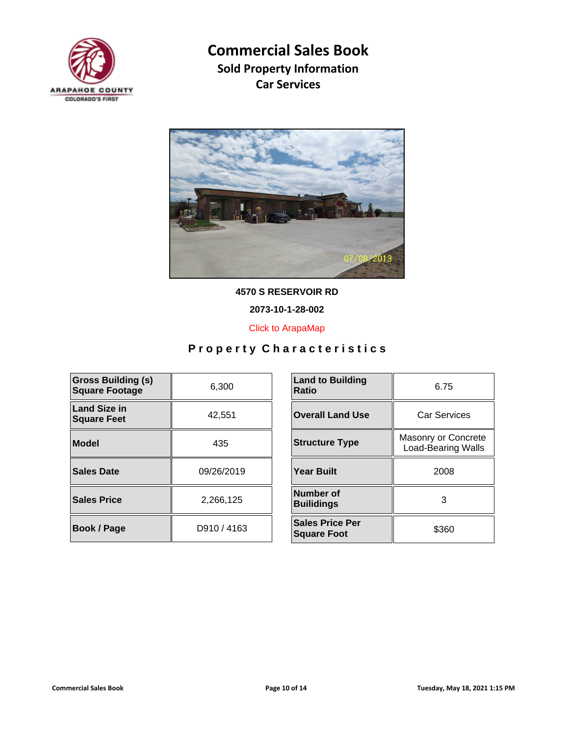



**4570 S RESERVOIR RD**

**2073-10-1-28-002**

[Click to ArapaMap](https://gis.arapahoegov.com/arapamaplite/?PARCEL=2073-10-1-28-002)

| <b>Gross Building (s)</b><br><b>Square Footage</b> | 6,300       | <b>Land to Building</b><br><b>Ratio</b>      |
|----------------------------------------------------|-------------|----------------------------------------------|
| <b>Land Size in</b><br><b>Square Feet</b>          | 42,551      | <b>Overall Land Use</b>                      |
| <b>Model</b>                                       | 435         | <b>Structure Type</b>                        |
| <b>Sales Date</b>                                  | 09/26/2019  | <b>Year Built</b>                            |
| <b>Sales Price</b>                                 | 2,266,125   | <b>Number of</b><br><b>Builidings</b>        |
| <b>Book / Page</b>                                 | D910 / 4163 | <b>Sales Price Per</b><br><b>Square Foot</b> |

| <b>Land to Building</b><br>Ratio             | 6.75                                             |  |
|----------------------------------------------|--------------------------------------------------|--|
| <b>Overall Land Use</b>                      | <b>Car Services</b>                              |  |
| <b>Structure Type</b>                        | Masonry or Concrete<br><b>Load-Bearing Walls</b> |  |
| Year Built                                   | 2008                                             |  |
| Number of<br><b>Builidings</b>               | 3                                                |  |
| <b>Sales Price Per</b><br><b>Square Foot</b> | \$360                                            |  |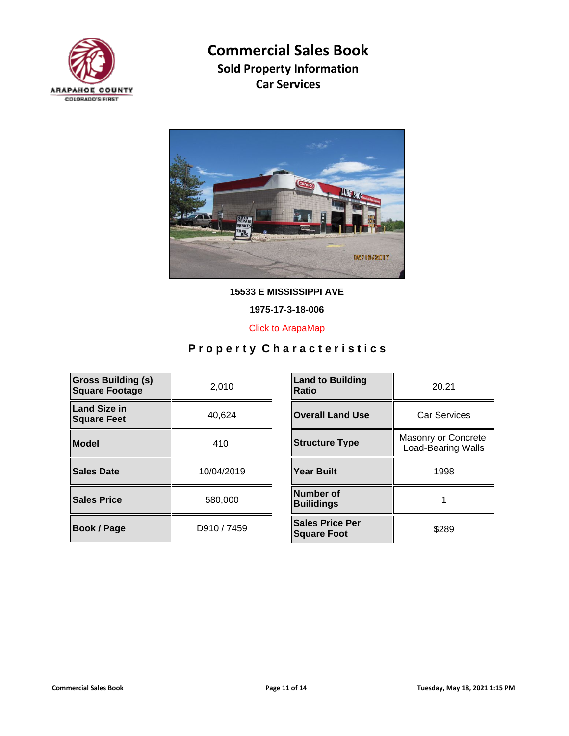



**15533 E MISSISSIPPI AVE**

**1975-17-3-18-006**

[Click to ArapaMap](https://gis.arapahoegov.com/arapamaplite/?PARCEL=1975-17-3-18-006)

| <b>Gross Building (s)</b><br><b>Square Footage</b> | 2,010       | <b>Land to Building</b><br><b>Ratio</b>      |
|----------------------------------------------------|-------------|----------------------------------------------|
| <b>Land Size in</b><br><b>Square Feet</b>          | 40,624      | <b>Overall Land Use</b>                      |
| <b>Model</b>                                       | 410         | <b>Structure Type</b>                        |
| <b>Sales Date</b>                                  | 10/04/2019  | <b>Year Built</b>                            |
| <b>Sales Price</b>                                 | 580,000     | Number of<br><b>Builidings</b>               |
| Book / Page                                        | D910 / 7459 | <b>Sales Price Per</b><br><b>Square Foot</b> |

| <b>Land to Building</b><br>Ratio             | 20.21                                            |  |
|----------------------------------------------|--------------------------------------------------|--|
| <b>Overall Land Use</b>                      | Car Services                                     |  |
| <b>Structure Type</b>                        | Masonry or Concrete<br><b>Load-Bearing Walls</b> |  |
| <b>Year Built</b>                            | 1998                                             |  |
| Number of<br><b>Builidings</b>               |                                                  |  |
| <b>Sales Price Per</b><br><b>Square Foot</b> | \$289                                            |  |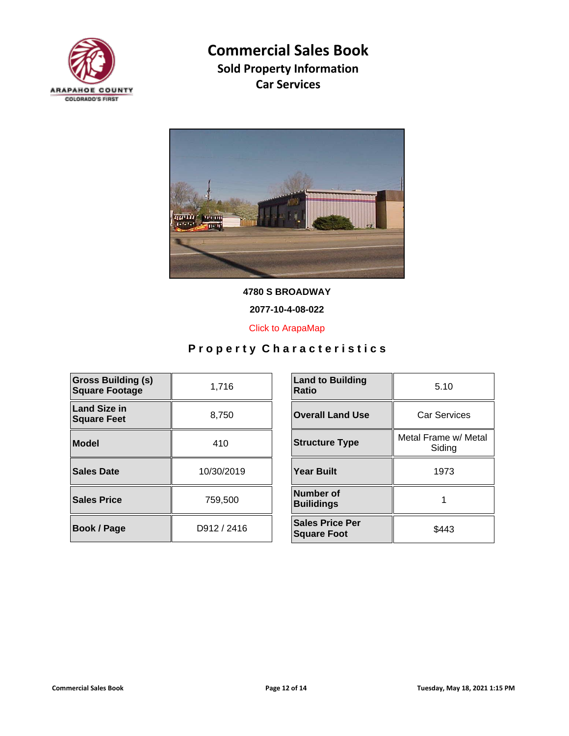



**4780 S BROADWAY**

**2077-10-4-08-022**

[Click to ArapaMap](https://gis.arapahoegov.com/arapamaplite/?PARCEL=2077-10-4-08-022)

| <b>Gross Building (s)</b><br><b>Square Footage</b> | 1,716       | <b>Land to Building</b><br><b>Ratio</b>      |
|----------------------------------------------------|-------------|----------------------------------------------|
| <b>Land Size in</b><br><b>Square Feet</b>          | 8,750       | <b>Overall Land Use</b>                      |
| <b>Model</b>                                       | 410         | <b>Structure Type</b>                        |
| <b>Sales Date</b>                                  | 10/30/2019  | <b>Year Built</b>                            |
| <b>Sales Price</b>                                 | 759,500     | <b>Number of</b><br><b>Builidings</b>        |
| Book / Page                                        | D912 / 2416 | <b>Sales Price Per</b><br><b>Square Foot</b> |

| <b>Land to Building</b><br>Ratio             | 5.10                           |  |
|----------------------------------------------|--------------------------------|--|
| <b>Overall Land Use</b>                      | Car Services                   |  |
| <b>Structure Type</b>                        | Metal Frame w/ Metal<br>Siding |  |
| <b>Year Built</b>                            | 1973                           |  |
| Number of<br><b>Builidings</b>               |                                |  |
| <b>Sales Price Per</b><br><b>Square Foot</b> | \$443                          |  |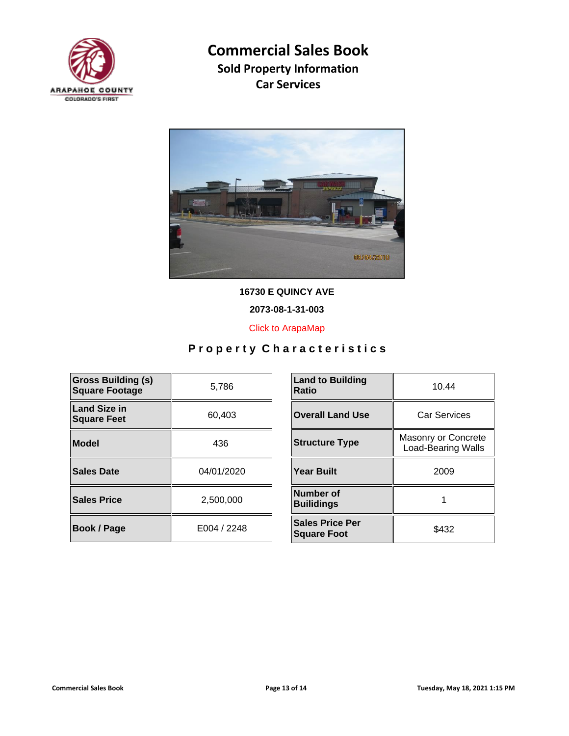



**16730 E QUINCY AVE**

**2073-08-1-31-003**

[Click to ArapaMap](https://gis.arapahoegov.com/arapamaplite/?PARCEL=2073-08-1-31-003)

| <b>Gross Building (s)</b><br><b>Square Footage</b> | 5,786       | <b>Land to Building</b><br><b>Ratio</b>      |
|----------------------------------------------------|-------------|----------------------------------------------|
| <b>Land Size in</b><br><b>Square Feet</b>          | 60,403      | <b>Overall Land Use</b>                      |
| Model                                              | 436         | <b>Structure Type</b>                        |
| Sales Date                                         | 04/01/2020  | <b>Year Built</b>                            |
| <b>Sales Price</b>                                 | 2,500,000   | Number of<br><b>Builidings</b>               |
| <b>Book / Page</b>                                 | E004 / 2248 | <b>Sales Price Per</b><br><b>Square Foot</b> |

| <b>Land to Building</b><br>Ratio             | 10.44                                            |  |
|----------------------------------------------|--------------------------------------------------|--|
| <b>Overall Land Use</b>                      | Car Services                                     |  |
| <b>Structure Type</b>                        | Masonry or Concrete<br><b>Load-Bearing Walls</b> |  |
| Year Built                                   | 2009                                             |  |
| Number of<br><b>Builidings</b>               |                                                  |  |
| <b>Sales Price Per</b><br><b>Square Foot</b> | \$432                                            |  |